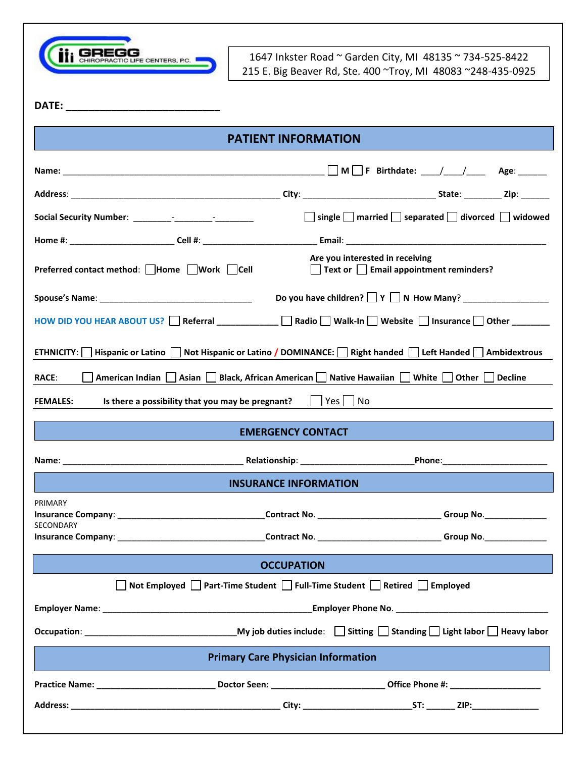

1647 Inkster Road ~ Garden City, MI 48135 ~ 734-525-8422 215 E. Big Beaver Rd, Ste. 400 ~Troy, MI 48083 ~248-435-0925

**DATE: \_\_\_\_\_\_\_\_\_\_\_\_\_\_\_\_\_\_\_\_\_\_\_\_\_\_\_**

| □ single ■ married ■ separated ■ divorced ■ widowed<br>Are you interested in receiving<br>Preferred contact method: Home Work Cell<br>$\Box$ Text or $\Box$ Email appointment reminders?<br>HOW DID YOU HEAR ABOUT US? Referral ___________ Radio Walk-In Website nisurance Other _____<br>Hispanic or Latino $\Box$ Not Hispanic or Latino / DOMINANCE: $\Box$ Right handed $\Box$ Left Handed $\Box$ Ambidextrous<br>ETHNICITY:  <br>American Indian Asian Black, African American Native Hawaiian White Other Decline<br>RACE:<br>$\Box$ Yes $\Box$ No<br>Is there a possibility that you may be pregnant?<br><b>FEMALES:</b><br><b>EMERGENCY CONTACT</b><br><b>INSURANCE INFORMATION</b> |  |  |  |  |
|----------------------------------------------------------------------------------------------------------------------------------------------------------------------------------------------------------------------------------------------------------------------------------------------------------------------------------------------------------------------------------------------------------------------------------------------------------------------------------------------------------------------------------------------------------------------------------------------------------------------------------------------------------------------------------------------|--|--|--|--|
|                                                                                                                                                                                                                                                                                                                                                                                                                                                                                                                                                                                                                                                                                              |  |  |  |  |
|                                                                                                                                                                                                                                                                                                                                                                                                                                                                                                                                                                                                                                                                                              |  |  |  |  |
|                                                                                                                                                                                                                                                                                                                                                                                                                                                                                                                                                                                                                                                                                              |  |  |  |  |
|                                                                                                                                                                                                                                                                                                                                                                                                                                                                                                                                                                                                                                                                                              |  |  |  |  |
|                                                                                                                                                                                                                                                                                                                                                                                                                                                                                                                                                                                                                                                                                              |  |  |  |  |
|                                                                                                                                                                                                                                                                                                                                                                                                                                                                                                                                                                                                                                                                                              |  |  |  |  |
|                                                                                                                                                                                                                                                                                                                                                                                                                                                                                                                                                                                                                                                                                              |  |  |  |  |
|                                                                                                                                                                                                                                                                                                                                                                                                                                                                                                                                                                                                                                                                                              |  |  |  |  |
|                                                                                                                                                                                                                                                                                                                                                                                                                                                                                                                                                                                                                                                                                              |  |  |  |  |
|                                                                                                                                                                                                                                                                                                                                                                                                                                                                                                                                                                                                                                                                                              |  |  |  |  |
|                                                                                                                                                                                                                                                                                                                                                                                                                                                                                                                                                                                                                                                                                              |  |  |  |  |
|                                                                                                                                                                                                                                                                                                                                                                                                                                                                                                                                                                                                                                                                                              |  |  |  |  |
|                                                                                                                                                                                                                                                                                                                                                                                                                                                                                                                                                                                                                                                                                              |  |  |  |  |
| PRIMARY                                                                                                                                                                                                                                                                                                                                                                                                                                                                                                                                                                                                                                                                                      |  |  |  |  |
| SECONDARY                                                                                                                                                                                                                                                                                                                                                                                                                                                                                                                                                                                                                                                                                    |  |  |  |  |
| <b>OCCUPATION</b>                                                                                                                                                                                                                                                                                                                                                                                                                                                                                                                                                                                                                                                                            |  |  |  |  |
| Not Employed □ Part-Time Student □ Full-Time Student □ Retired □ Employed                                                                                                                                                                                                                                                                                                                                                                                                                                                                                                                                                                                                                    |  |  |  |  |
|                                                                                                                                                                                                                                                                                                                                                                                                                                                                                                                                                                                                                                                                                              |  |  |  |  |
|                                                                                                                                                                                                                                                                                                                                                                                                                                                                                                                                                                                                                                                                                              |  |  |  |  |
| <b>Primary Care Physician Information</b>                                                                                                                                                                                                                                                                                                                                                                                                                                                                                                                                                                                                                                                    |  |  |  |  |
|                                                                                                                                                                                                                                                                                                                                                                                                                                                                                                                                                                                                                                                                                              |  |  |  |  |
|                                                                                                                                                                                                                                                                                                                                                                                                                                                                                                                                                                                                                                                                                              |  |  |  |  |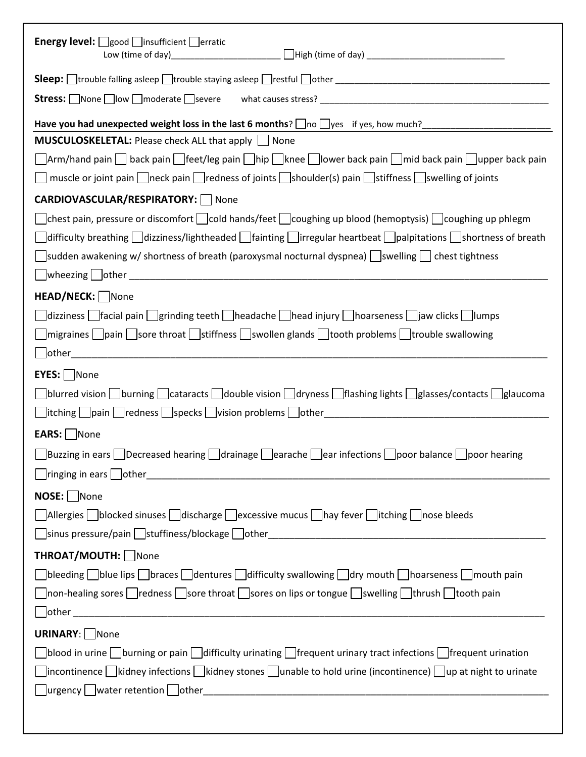| <b>Energy level:</b> $\Box$ good $\Box$ insufficient $\Box$ erratic                                                                                                                                                                                                                                                                                     |
|---------------------------------------------------------------------------------------------------------------------------------------------------------------------------------------------------------------------------------------------------------------------------------------------------------------------------------------------------------|
|                                                                                                                                                                                                                                                                                                                                                         |
|                                                                                                                                                                                                                                                                                                                                                         |
| <b>MUSCULOSKELETAL:</b> Please check ALL that apply     None                                                                                                                                                                                                                                                                                            |
| Arm/hand pain back pain feet/leg pain hip knee lower back pain mid back pain upper back pain<br>muscle or joint pain $\Box$ neck pain $\Box$ redness of joints $\Box$ shoulder(s) pain $\Box$ stiffness $\Box$ swelling of joints                                                                                                                       |
| <b>CARDIOVASCULAR/RESPIRATORY:</b> None                                                                                                                                                                                                                                                                                                                 |
| chest pain, pressure or discomfort $\Box$ cold hands/feet $\Box$ coughing up blood (hemoptysis) $\Box$ coughing up phlegm<br>difficulty breathing dizziness/lightheaded fainting lirregular heartbeat palpitations shortness of breath<br>sudden awakening w/ shortness of breath (paroxysmal nocturnal dyspnea) $\Box$ swelling $\Box$ chest tightness |
| HEAD/NECK: None                                                                                                                                                                                                                                                                                                                                         |
| dizziness facial pain grinding teeth headache head injury hoarseness jaw clicks lumps<br>$\Box$ migraines $\Box$ pain $\Box$ sore throat $\Box$ stiffness $\Box$ swollen glands $\Box$ tooth problems $\Box$ trouble swallowing                                                                                                                         |
|                                                                                                                                                                                                                                                                                                                                                         |
| EYES:   None<br>blurred vision burning cataracts double vision dryness flashing lights glasses/contacts glaucoma                                                                                                                                                                                                                                        |
| EARS: None                                                                                                                                                                                                                                                                                                                                              |
| $□$ Buzzing in ears $□$ Decreased hearing $□$ drainage $□$ earache $□$ ear infections $□$ poor balance $□$ poor hearing                                                                                                                                                                                                                                 |
| $NOSE: \Box$ None                                                                                                                                                                                                                                                                                                                                       |
| $\Box$ Allergies $\Box$ blocked sinuses $\Box$ discharge $\Box$ excessive mucus $\Box$ hay fever $\Box$ itching $\Box$ nose bleeds<br>$\Box$ sinus pressure/pain $\Box$ stuffiness/blockage $\Box$ other $\_\_\_\_\_\_\_\_\_\_$                                                                                                                         |
| THROAT/MOUTH: None                                                                                                                                                                                                                                                                                                                                      |
| $\Box$ bleeding $\Box$ blue lips $\Box$ braces $\Box$ dentures $\Box$ difficulty swallowing $\Box$ dry mouth $\Box$ hoarseness $\Box$ mouth pain<br>$\Box$ non-healing sores $\Box$ redness $\Box$ sore throat $\Box$ sores on lips or tongue $\Box$ swelling $\Box$ thrush $\Box$ tooth pain                                                           |
| <b>URINARY:</b> None                                                                                                                                                                                                                                                                                                                                    |
| $\Box$ blood in urine $\Box$ burning or pain $\Box$ difficulty urinating $\Box$ frequent urinary tract infections $\Box$ frequent urination<br>$\Box$ incontinence $\Box$ kidney infections $\Box$ kidney stones $\Box$ unable to hold urine (incontinence) $\Box$ up at night to urinate                                                               |
|                                                                                                                                                                                                                                                                                                                                                         |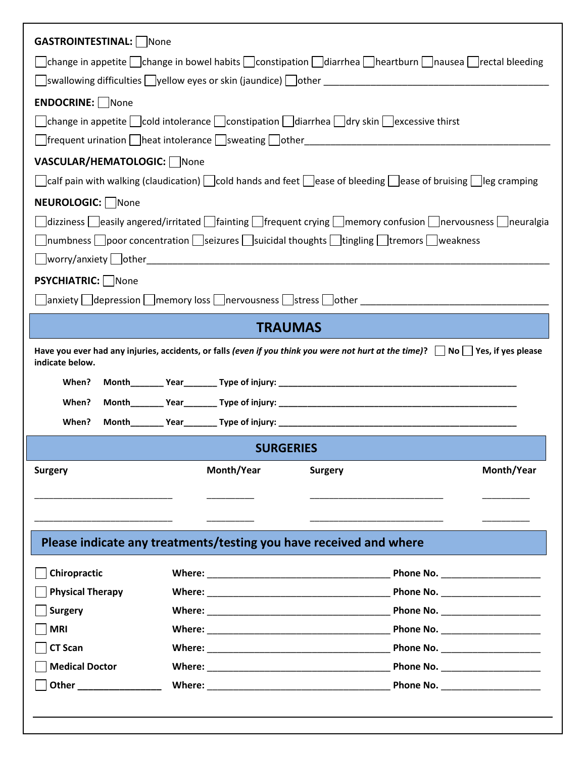| <b>GASTROINTESTINAL:</b>   None                                                                                                                               |                                   |  |  |  |
|---------------------------------------------------------------------------------------------------------------------------------------------------------------|-----------------------------------|--|--|--|
| $\Box$ change in appetite $\Box$ change in bowel habits $\Box$ constipation $\Box$ diarrhea $\Box$ heartburn $\Box$ nausea $\Box$ rectal bleeding             |                                   |  |  |  |
| △ Swallowing difficulties △ Syellow eyes or skin (jaundice) △ Sother Annan All All All All All All All All All A                                              |                                   |  |  |  |
| <b>ENDOCRINE:</b> None                                                                                                                                        |                                   |  |  |  |
| change in appetite $\Box$ cold intolerance $\Box$ constipation $\Box$ diarrhea $\Box$ dry skin $\Box$ excessive thirst                                        |                                   |  |  |  |
| △ Strequent urination & Sheat intolerance & Sweating & Sother Art Allen Management and the Street Art Art Art A                                               |                                   |  |  |  |
| VASCULAR/HEMATOLOGIC:   None                                                                                                                                  |                                   |  |  |  |
| $\Box$ calf pain with walking (claudication) $\Box$ cold hands and feet $\Box$ ease of bleeding $\Box$ ease of bruising $\Box$ leg cramping                   |                                   |  |  |  |
| NEUROLOGIC: None                                                                                                                                              |                                   |  |  |  |
| $\Box$ dizziness $\Box$ easily angered/irritated $\Box$ fainting $\Box$ frequent crying $\Box$ memory confusion $\Box$ nervousness $\Box$ neuralgia           |                                   |  |  |  |
| numbness poor concentration seizures suicidal thoughts tingling tremors weakness                                                                              |                                   |  |  |  |
|                                                                                                                                                               |                                   |  |  |  |
| <b>PSYCHIATRIC:</b> None                                                                                                                                      |                                   |  |  |  |
| anxiety depression memory loss nervousness stress other                                                                                                       |                                   |  |  |  |
| <b>TRAUMAS</b>                                                                                                                                                |                                   |  |  |  |
| Have you ever had any injuries, accidents, or falls (even if you think you were not hurt at the time)? $\Box$ No $\Box$ Yes, if yes please<br>indicate below. |                                   |  |  |  |
| When?                                                                                                                                                         |                                   |  |  |  |
| When?                                                                                                                                                         |                                   |  |  |  |
| When?                                                                                                                                                         |                                   |  |  |  |
| <b>SURGERIES</b>                                                                                                                                              |                                   |  |  |  |
| Month/Year<br><b>Surgery</b><br><b>Surgery</b>                                                                                                                | Month/Year                        |  |  |  |
|                                                                                                                                                               |                                   |  |  |  |
|                                                                                                                                                               |                                   |  |  |  |
|                                                                                                                                                               |                                   |  |  |  |
| Please indicate any treatments/testing you have received and where                                                                                            |                                   |  |  |  |
| Chiropractic                                                                                                                                                  | Phone No. _______________________ |  |  |  |
| <b>Physical Therapy</b>                                                                                                                                       |                                   |  |  |  |
| <b>Surgery</b>                                                                                                                                                |                                   |  |  |  |
| <b>MRI</b>                                                                                                                                                    | Phone No. ______________________  |  |  |  |
| <b>CT Scan</b>                                                                                                                                                |                                   |  |  |  |
| <b>Medical Doctor</b>                                                                                                                                         | Phone No. ____________________    |  |  |  |
|                                                                                                                                                               |                                   |  |  |  |
|                                                                                                                                                               |                                   |  |  |  |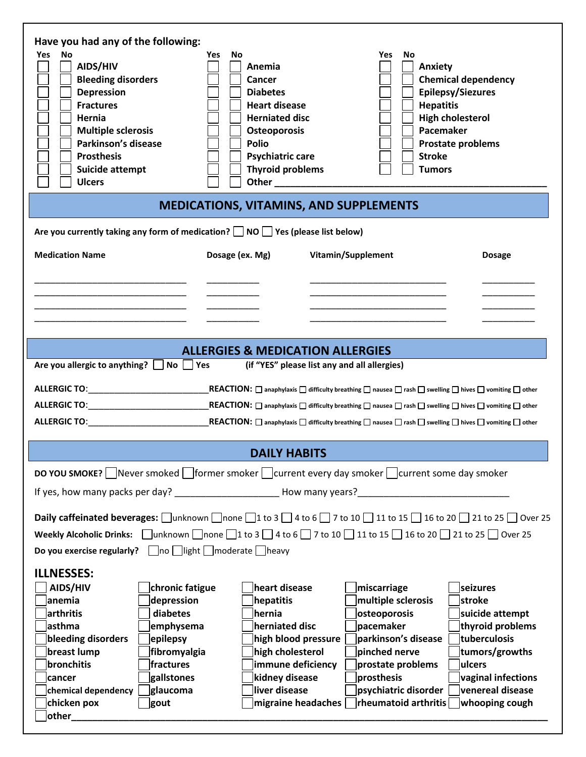| Have you had any of the following:<br>No<br>Yes<br>AIDS/HIV<br><b>Bleeding disorders</b><br><b>Depression</b><br><b>Fractures</b><br>Hernia<br><b>Multiple sclerosis</b><br>Parkinson's disease<br><b>Prosthesis</b><br>Suicide attempt<br><b>Ulcers</b>                                                                                                                                                                                                                                                                        | <b>No</b><br>Yes<br>Anemia<br><b>Cancer</b><br><b>Diabetes</b><br><b>Heart disease</b><br><b>Herniated disc</b><br><b>Osteoporosis</b><br><b>Polio</b><br><b>Psychiatric care</b><br><b>Thyroid problems</b> | No<br>Yes<br><b>Anxiety</b><br><b>Stroke</b><br><b>Tumors</b><br>Other <b>Communication</b>                                                                                                                                                                 | <b>Chemical dependency</b><br><b>Epilepsy/Siezures</b><br><b>Hepatitis</b><br><b>High cholesterol</b><br>Pacemaker<br>Prostate problems                           |  |  |  |
|---------------------------------------------------------------------------------------------------------------------------------------------------------------------------------------------------------------------------------------------------------------------------------------------------------------------------------------------------------------------------------------------------------------------------------------------------------------------------------------------------------------------------------|--------------------------------------------------------------------------------------------------------------------------------------------------------------------------------------------------------------|-------------------------------------------------------------------------------------------------------------------------------------------------------------------------------------------------------------------------------------------------------------|-------------------------------------------------------------------------------------------------------------------------------------------------------------------|--|--|--|
|                                                                                                                                                                                                                                                                                                                                                                                                                                                                                                                                 |                                                                                                                                                                                                              | <b>MEDICATIONS, VITAMINS, AND SUPPLEMENTS</b>                                                                                                                                                                                                               |                                                                                                                                                                   |  |  |  |
| Are you currently taking any form of medication? $\Box$ NO $\Box$ Yes (please list below)                                                                                                                                                                                                                                                                                                                                                                                                                                       |                                                                                                                                                                                                              |                                                                                                                                                                                                                                                             |                                                                                                                                                                   |  |  |  |
| <b>Medication Name</b>                                                                                                                                                                                                                                                                                                                                                                                                                                                                                                          | Dosage (ex. Mg)                                                                                                                                                                                              | Vitamin/Supplement                                                                                                                                                                                                                                          | <b>Dosage</b>                                                                                                                                                     |  |  |  |
|                                                                                                                                                                                                                                                                                                                                                                                                                                                                                                                                 |                                                                                                                                                                                                              |                                                                                                                                                                                                                                                             |                                                                                                                                                                   |  |  |  |
|                                                                                                                                                                                                                                                                                                                                                                                                                                                                                                                                 |                                                                                                                                                                                                              |                                                                                                                                                                                                                                                             |                                                                                                                                                                   |  |  |  |
|                                                                                                                                                                                                                                                                                                                                                                                                                                                                                                                                 |                                                                                                                                                                                                              |                                                                                                                                                                                                                                                             |                                                                                                                                                                   |  |  |  |
|                                                                                                                                                                                                                                                                                                                                                                                                                                                                                                                                 | <b>ALLERGIES &amp; MEDICATION ALLERGIES</b>                                                                                                                                                                  |                                                                                                                                                                                                                                                             |                                                                                                                                                                   |  |  |  |
| $No \Box Yes$<br>Are you allergic to anything?<br>(if "YES" please list any and all allergies)                                                                                                                                                                                                                                                                                                                                                                                                                                  |                                                                                                                                                                                                              |                                                                                                                                                                                                                                                             |                                                                                                                                                                   |  |  |  |
| $\_$ REACTION: $\Box$ anaphylaxis $\Box$ difficulty breathing $\Box$ nausea $\Box$ rash $\Box$ swelling $\Box$ hives $\Box$ vomiting $\Box$ other<br>$\mathsf{REACTION} \colon \square$ anaphylaxis $\square$ difficulty breathing $\square$ nausea $\square$ rash $\square$ swelling $\square$ hives $\square$ vomiting $\square$ other<br>$\mathsf{REACTION} \colon \square$ anaphylaxis $\square$ difficulty breathing $\square$ nausea $\square$ rash $\square$ swelling $\square$ hives $\square$ vomiting $\square$ other |                                                                                                                                                                                                              |                                                                                                                                                                                                                                                             |                                                                                                                                                                   |  |  |  |
| <b>DAILY HABITS</b>                                                                                                                                                                                                                                                                                                                                                                                                                                                                                                             |                                                                                                                                                                                                              |                                                                                                                                                                                                                                                             |                                                                                                                                                                   |  |  |  |
| DO YOU SMOKE? △ Never smoked △ former smoker △ current every day smoker △ current some day smoker                                                                                                                                                                                                                                                                                                                                                                                                                               |                                                                                                                                                                                                              |                                                                                                                                                                                                                                                             |                                                                                                                                                                   |  |  |  |
|                                                                                                                                                                                                                                                                                                                                                                                                                                                                                                                                 |                                                                                                                                                                                                              |                                                                                                                                                                                                                                                             |                                                                                                                                                                   |  |  |  |
| Daily caffeinated beverages: $\Box$ unknown $\Box$ none $\Box$ 1 to 3 $\Box$ 4 to 6 $\Box$ 7 to 10 $\Box$ 11 to 15 $\Box$ 16 to 20 $\Box$ 21 to 25 $\Box$ Over 25<br>Weekly Alcoholic Drinks: $\Box$ unknown $\Box$ none $\Box$ 1 to 3 $\Box$ 4 to 6 $\Box$ 7 to 10 $\Box$ 11 to 15 $\Box$ 16 to 20 $\Box$ 21 to 25 $\Box$ Over 25<br>Do you exercise regularly? $\Box$ no $\Box$ light $\Box$ moderate $\Box$ heavy                                                                                                            |                                                                                                                                                                                                              |                                                                                                                                                                                                                                                             |                                                                                                                                                                   |  |  |  |
| <b>ILLNESSES:</b><br>AIDS/HIV<br>chronic fatigue<br>anemia<br>depression<br>diabetes<br>arthritis<br>asthma<br>emphysema<br>bleeding disorders<br>epilepsy<br>breast lump<br>fibromyalgia<br>bronchitis<br>fractures<br>gallstones<br><b>cancer</b><br>glaucoma<br>chemical dependency<br>chicken pox<br>gout<br>$ $ other $\_$                                                                                                                                                                                                 | heart disease<br>hepatitis<br>hernia<br>herniated disc<br>high cholesterol<br>kidney disease<br>liver disease                                                                                                | miscarriage<br>multiple sclerosis<br>osteoporosis<br>pacemaker<br>high blood pressure<br>parkinson's disease<br>pinched nerve<br>immune deficiency<br>prostate problems<br>prosthesis<br>psychiatric disorder<br>rheumatoid arthritis<br>migraine headaches | seizures<br>stroke<br>suicide attempt<br>thyroid problems<br>tuberculosis<br>tumors/growths<br>ulcers<br>vaginal infections<br>venereal disease<br>whooping cough |  |  |  |